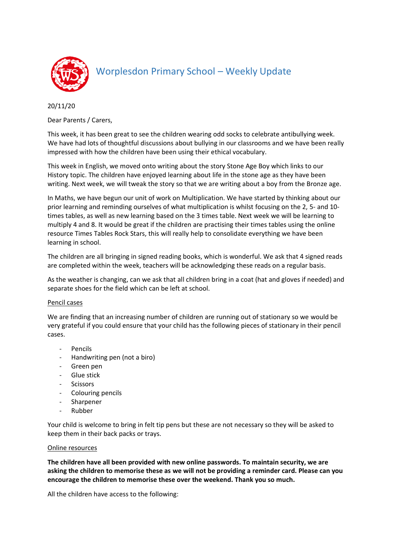

## Worplesdon Primary School – Weekly Update

20/11/20

Dear Parents / Carers,

This week, it has been great to see the children wearing odd socks to celebrate antibullying week. We have had lots of thoughtful discussions about bullying in our classrooms and we have been really impressed with how the children have been using their ethical vocabulary.

This week in English, we moved onto writing about the story Stone Age Boy which links to our History topic. The children have enjoyed learning about life in the stone age as they have been writing. Next week, we will tweak the story so that we are writing about a boy from the Bronze age.

In Maths, we have begun our unit of work on Multiplication. We have started by thinking about our prior learning and reminding ourselves of what multiplication is whilst focusing on the 2, 5- and 10 times tables, as well as new learning based on the 3 times table. Next week we will be learning to multiply 4 and 8. It would be great if the children are practising their times tables using the online resource Times Tables Rock Stars, this will really help to consolidate everything we have been learning in school.

The children are all bringing in signed reading books, which is wonderful. We ask that 4 signed reads are completed within the week, teachers will be acknowledging these reads on a regular basis.

As the weather is changing, can we ask that all children bring in a coat (hat and gloves if needed) and separate shoes for the field which can be left at school.

## Pencil cases

We are finding that an increasing number of children are running out of stationary so we would be very grateful if you could ensure that your child has the following pieces of stationary in their pencil cases.

- **Pencils**
- Handwriting pen (not a biro)
- Green pen
- Glue stick
- **Scissors**
- Colouring pencils
- Sharpener
- Rubber

Your child is welcome to bring in felt tip pens but these are not necessary so they will be asked to keep them in their back packs or trays.

## Online resources

**The children have all been provided with new online passwords. To maintain security, we are asking the children to memorise these as we will not be providing a reminder card. Please can you encourage the children to memorise these over the weekend. Thank you so much.**

All the children have access to the following: